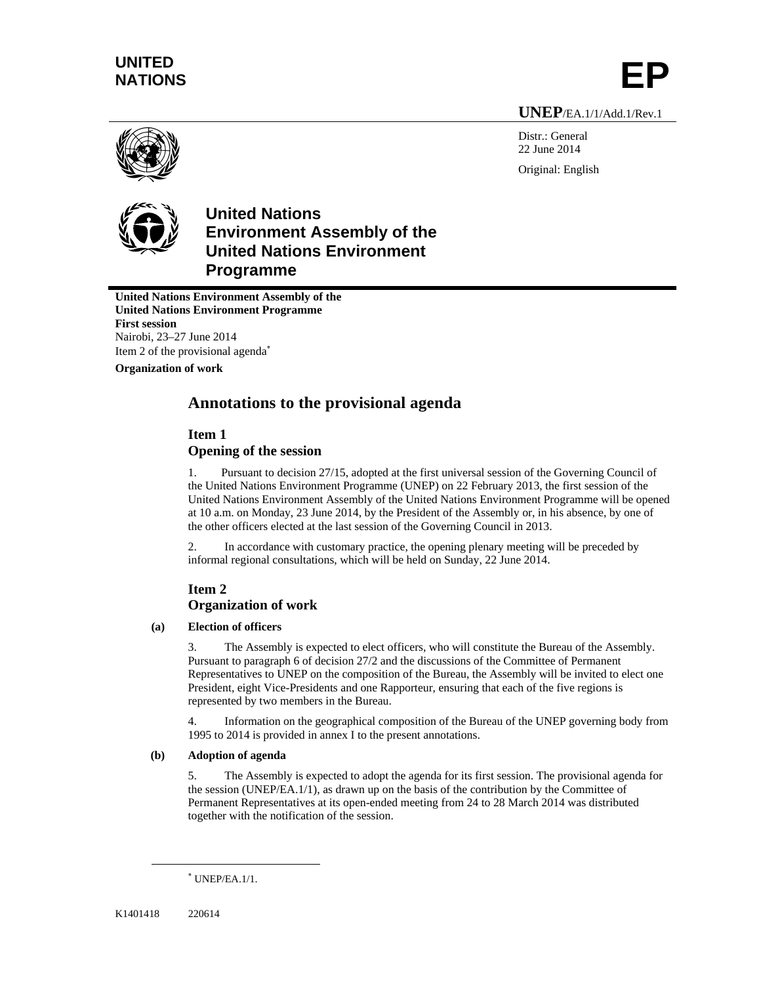# **UNITED**  NATIONS

**UNEP**/EA.1/1/Add.1/Rev.1

Distr.: General 22 June 2014 Original: English





## **United Nations Environment Assembly of the United Nations Environment Programme**

**United Nations Environment Assembly of the United Nations Environment Programme First session**  Nairobi, 23–27 June 2014 Item 2 of the provisional agenda

**Organization of work** 

## **Annotations to the provisional agenda**

## **Item 1**

## **Opening of the session**

1. Pursuant to decision 27/15, adopted at the first universal session of the Governing Council of the United Nations Environment Programme (UNEP) on 22 February 2013, the first session of the United Nations Environment Assembly of the United Nations Environment Programme will be opened at 10 a.m. on Monday, 23 June 2014, by the President of the Assembly or, in his absence, by one of the other officers elected at the last session of the Governing Council in 2013.

2. In accordance with customary practice, the opening plenary meeting will be preceded by informal regional consultations, which will be held on Sunday, 22 June 2014.

## **Item 2 Organization of work**

### **(a) Election of officers**

3. The Assembly is expected to elect officers, who will constitute the Bureau of the Assembly. Pursuant to paragraph 6 of decision 27/2 and the discussions of the Committee of Permanent Representatives to UNEP on the composition of the Bureau, the Assembly will be invited to elect one President, eight Vice-Presidents and one Rapporteur, ensuring that each of the five regions is represented by two members in the Bureau.

4. Information on the geographical composition of the Bureau of the UNEP governing body from 1995 to 2014 is provided in annex I to the present annotations.

### **(b) Adoption of agenda**

5. The Assembly is expected to adopt the agenda for its first session. The provisional agenda for the session (UNEP/EA.1/1), as drawn up on the basis of the contribution by the Committee of Permanent Representatives at its open-ended meeting from 24 to 28 March 2014 was distributed together with the notification of the session.

l

 UNEP/EA.1/1.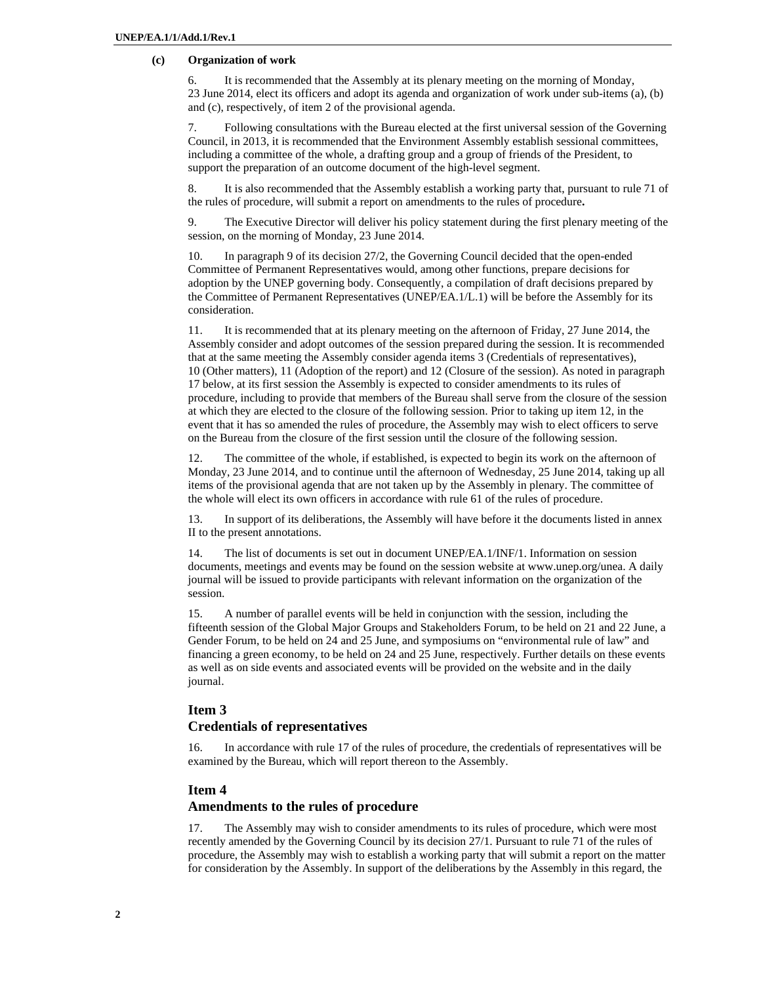#### **(c) Organization of work**

6. It is recommended that the Assembly at its plenary meeting on the morning of Monday, 23 June 2014, elect its officers and adopt its agenda and organization of work under sub-items (a), (b) and (c), respectively, of item 2 of the provisional agenda.

7. Following consultations with the Bureau elected at the first universal session of the Governing Council, in 2013, it is recommended that the Environment Assembly establish sessional committees, including a committee of the whole, a drafting group and a group of friends of the President, to support the preparation of an outcome document of the high-level segment.

8. It is also recommended that the Assembly establish a working party that, pursuant to rule 71 of the rules of procedure, will submit a report on amendments to the rules of procedure**.** 

9. The Executive Director will deliver his policy statement during the first plenary meeting of the session, on the morning of Monday, 23 June 2014.

10. In paragraph 9 of its decision 27/2, the Governing Council decided that the open-ended Committee of Permanent Representatives would, among other functions, prepare decisions for adoption by the UNEP governing body. Consequently, a compilation of draft decisions prepared by the Committee of Permanent Representatives (UNEP/EA.1/L.1) will be before the Assembly for its consideration.

11. It is recommended that at its plenary meeting on the afternoon of Friday, 27 June 2014, the Assembly consider and adopt outcomes of the session prepared during the session. It is recommended that at the same meeting the Assembly consider agenda items 3 (Credentials of representatives), 10 (Other matters), 11 (Adoption of the report) and 12 (Closure of the session). As noted in paragraph 17 below, at its first session the Assembly is expected to consider amendments to its rules of procedure, including to provide that members of the Bureau shall serve from the closure of the session at which they are elected to the closure of the following session. Prior to taking up item 12, in the event that it has so amended the rules of procedure, the Assembly may wish to elect officers to serve on the Bureau from the closure of the first session until the closure of the following session.

12. The committee of the whole, if established, is expected to begin its work on the afternoon of Monday, 23 June 2014, and to continue until the afternoon of Wednesday, 25 June 2014, taking up all items of the provisional agenda that are not taken up by the Assembly in plenary. The committee of the whole will elect its own officers in accordance with rule 61 of the rules of procedure.

13. In support of its deliberations, the Assembly will have before it the documents listed in annex II to the present annotations.

14. The list of documents is set out in document UNEP/EA.1/INF/1. Information on session documents, meetings and events may be found on the session website at www.unep.org/unea. A daily journal will be issued to provide participants with relevant information on the organization of the session.

15. A number of parallel events will be held in conjunction with the session, including the fifteenth session of the Global Major Groups and Stakeholders Forum, to be held on 21 and 22 June, a Gender Forum, to be held on 24 and 25 June, and symposiums on "environmental rule of law" and financing a green economy, to be held on 24 and 25 June, respectively. Further details on these events as well as on side events and associated events will be provided on the website and in the daily journal.

# **Item 3**

## **Credentials of representatives**

16. In accordance with rule 17 of the rules of procedure, the credentials of representatives will be examined by the Bureau, which will report thereon to the Assembly.

#### **Item 4**

#### **Amendments to the rules of procedure**

17. The Assembly may wish to consider amendments to its rules of procedure, which were most recently amended by the Governing Council by its decision 27/1. Pursuant to rule 71 of the rules of procedure, the Assembly may wish to establish a working party that will submit a report on the matter for consideration by the Assembly. In support of the deliberations by the Assembly in this regard, the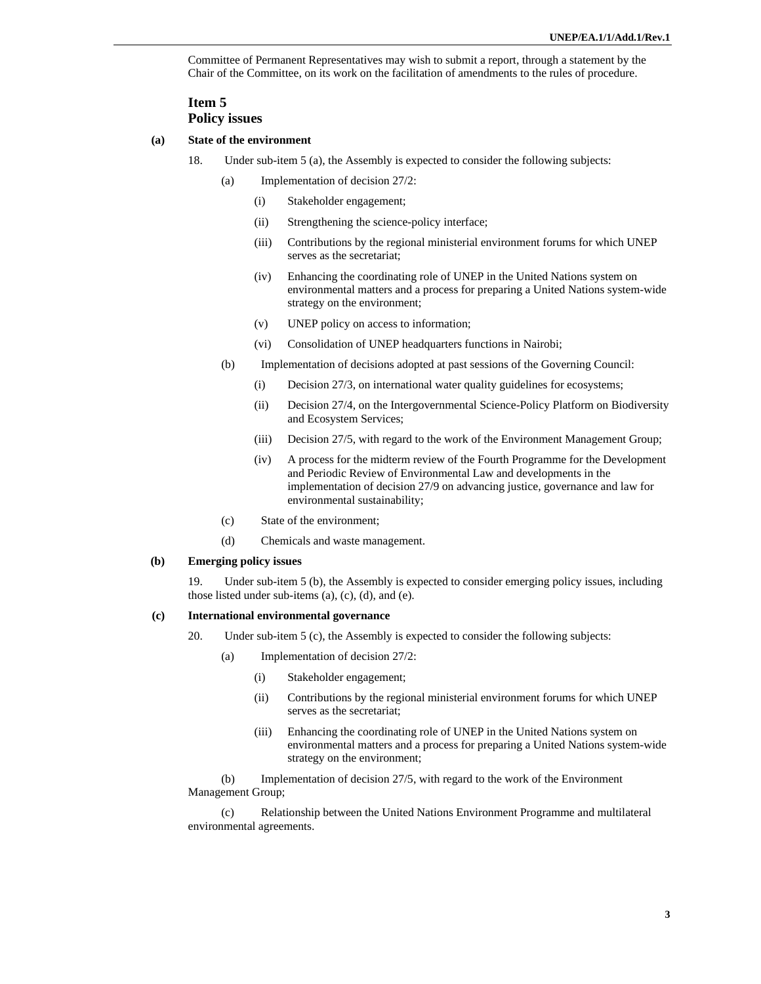Committee of Permanent Representatives may wish to submit a report, through a statement by the Chair of the Committee, on its work on the facilitation of amendments to the rules of procedure.

### **Item 5 Policy issues**

#### **(a) State of the environment**

- 18. Under sub-item 5 (a), the Assembly is expected to consider the following subjects:
	- (a) Implementation of decision 27/2:
		- (i) Stakeholder engagement;
		- (ii) Strengthening the science-policy interface;
		- (iii) Contributions by the regional ministerial environment forums for which UNEP serves as the secretariat;
		- (iv) Enhancing the coordinating role of UNEP in the United Nations system on environmental matters and a process for preparing a United Nations system-wide strategy on the environment;
		- (v) UNEP policy on access to information;
		- (vi) Consolidation of UNEP headquarters functions in Nairobi;
	- (b) Implementation of decisions adopted at past sessions of the Governing Council:
		- (i) Decision 27/3, on international water quality guidelines for ecosystems;
		- (ii) Decision 27/4, on the Intergovernmental Science-Policy Platform on Biodiversity and Ecosystem Services;
		- (iii) Decision 27/5, with regard to the work of the Environment Management Group;
		- (iv) A process for the midterm review of the Fourth Programme for the Development and Periodic Review of Environmental Law and developments in the implementation of decision 27/9 on advancing justice, governance and law for environmental sustainability;
	- (c) State of the environment;
	- (d) Chemicals and waste management.

#### **(b) Emerging policy issues**

19. Under sub-item 5 (b), the Assembly is expected to consider emerging policy issues, including those listed under sub-items (a), (c), (d), and (e).

#### **(c) International environmental governance**

- 20. Under sub-item 5 (c), the Assembly is expected to consider the following subjects:
	- (a) Implementation of decision 27/2:
		- (i) Stakeholder engagement;
		- (ii) Contributions by the regional ministerial environment forums for which UNEP serves as the secretariat;
		- (iii) Enhancing the coordinating role of UNEP in the United Nations system on environmental matters and a process for preparing a United Nations system-wide strategy on the environment;

(b) Implementation of decision 27/5, with regard to the work of the Environment Management Group;

(c) Relationship between the United Nations Environment Programme and multilateral environmental agreements.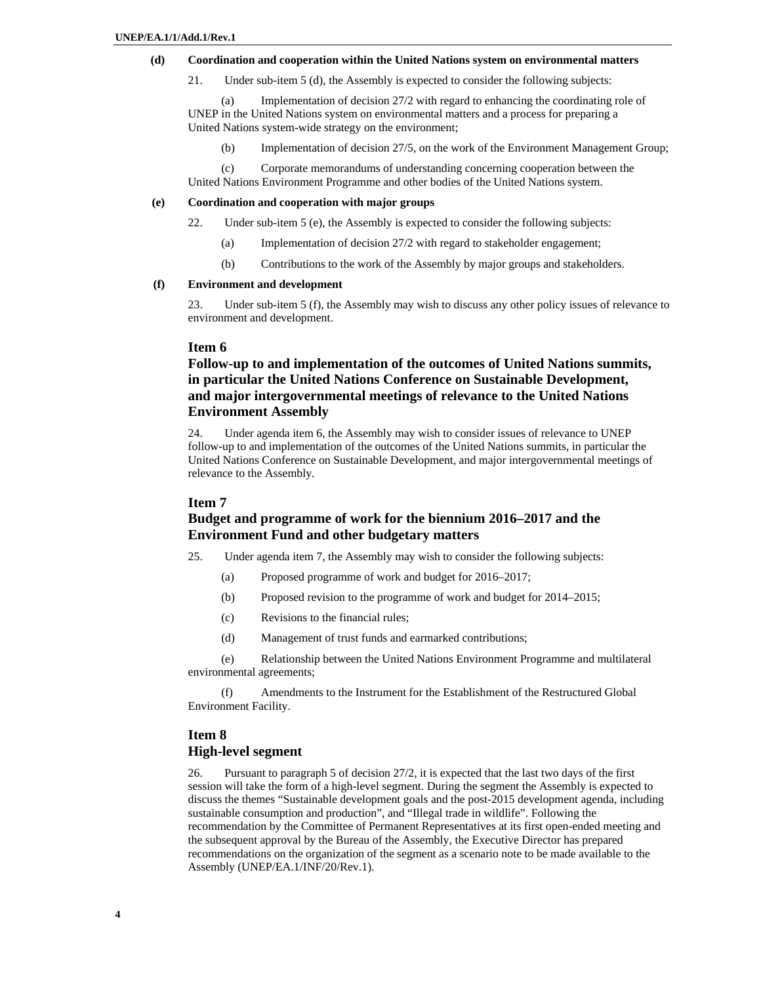#### **(d) Coordination and cooperation within the United Nations system on environmental matters**

21. Under sub-item 5 (d), the Assembly is expected to consider the following subjects:

(a) Implementation of decision 27/2 with regard to enhancing the coordinating role of UNEP in the United Nations system on environmental matters and a process for preparing a United Nations system-wide strategy on the environment;

(b) Implementation of decision 27/5, on the work of the Environment Management Group;

(c) Corporate memorandums of understanding concerning cooperation between the United Nations Environment Programme and other bodies of the United Nations system.

#### **(e) Coordination and cooperation with major groups**

- 22. Under sub-item 5 (e), the Assembly is expected to consider the following subjects:
	- (a) Implementation of decision 27/2 with regard to stakeholder engagement;
	- (b) Contributions to the work of the Assembly by major groups and stakeholders.

#### **(f) Environment and development**

23. Under sub-item 5 (f), the Assembly may wish to discuss any other policy issues of relevance to environment and development.

#### **Item 6**

## **Follow-up to and implementation of the outcomes of United Nations summits, in particular the United Nations Conference on Sustainable Development, and major intergovernmental meetings of relevance to the United Nations Environment Assembly**

24. Under agenda item 6, the Assembly may wish to consider issues of relevance to UNEP follow-up to and implementation of the outcomes of the United Nations summits, in particular the United Nations Conference on Sustainable Development, and major intergovernmental meetings of relevance to the Assembly.

#### **Item 7**

### **Budget and programme of work for the biennium 2016–2017 and the Environment Fund and other budgetary matters**

- 25. Under agenda item 7, the Assembly may wish to consider the following subjects:
	- (a) Proposed programme of work and budget for 2016–2017;
	- (b) Proposed revision to the programme of work and budget for 2014–2015;
	- (c) Revisions to the financial rules;
	- (d) Management of trust funds and earmarked contributions;

(e) Relationship between the United Nations Environment Programme and multilateral environmental agreements;

(f) Amendments to the Instrument for the Establishment of the Restructured Global Environment Facility.

## **Item 8 High-level segment**

26. Pursuant to paragraph 5 of decision 27/2, it is expected that the last two days of the first session will take the form of a high-level segment. During the segment the Assembly is expected to discuss the themes "Sustainable development goals and the post-2015 development agenda, including sustainable consumption and production", and "Illegal trade in wildlife". Following the recommendation by the Committee of Permanent Representatives at its first open-ended meeting and the subsequent approval by the Bureau of the Assembly, the Executive Director has prepared recommendations on the organization of the segment as a scenario note to be made available to the Assembly (UNEP/EA.1/INF/20/Rev.1).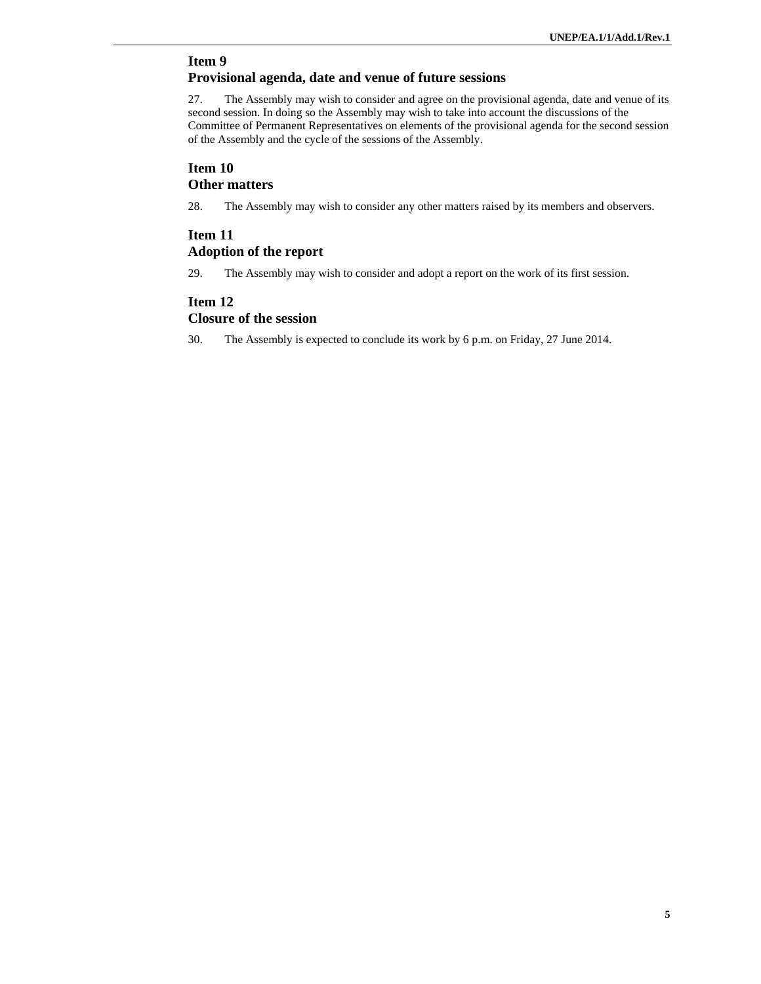# **Item 9**

 **Provisional agenda, date and venue of future sessions** 

27. The Assembly may wish to consider and agree on the provisional agenda, date and venue of its second session. In doing so the Assembly may wish to take into account the discussions of the Committee of Permanent Representatives on elements of the provisional agenda for the second session of the Assembly and the cycle of the sessions of the Assembly.

## **Item 10 Other matters**

28. The Assembly may wish to consider any other matters raised by its members and observers.

## **Item 11 Adoption of the report**

29. The Assembly may wish to consider and adopt a report on the work of its first session.

## **Item 12 Closure of the session**

30. The Assembly is expected to conclude its work by 6 p.m. on Friday, 27 June 2014.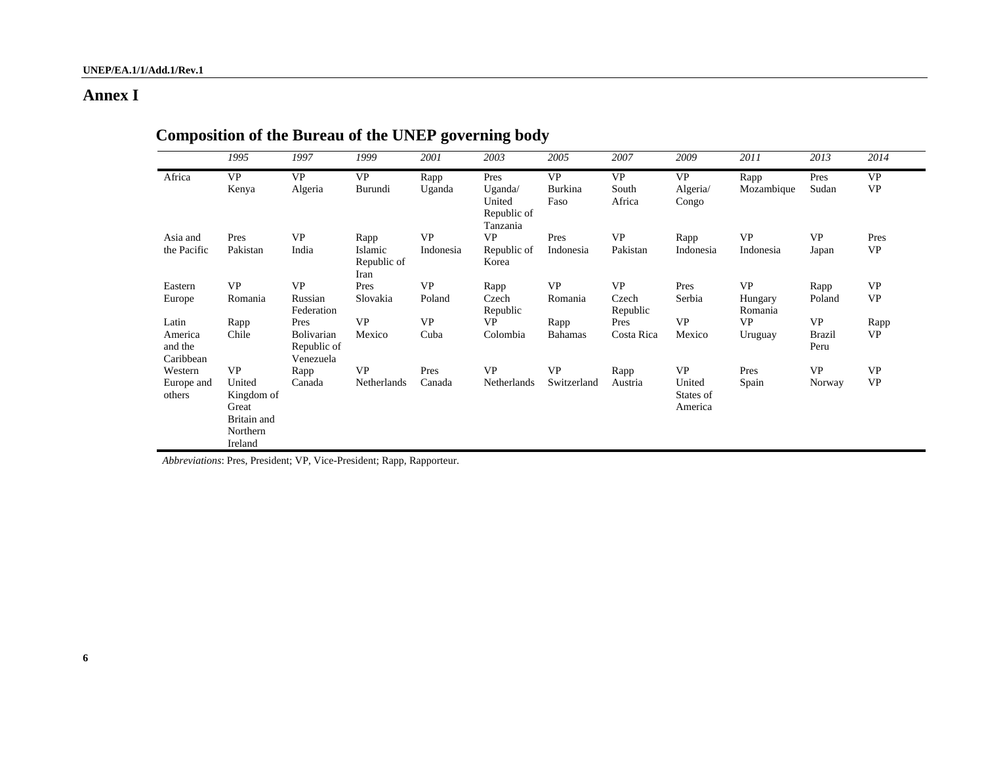## **Annex I**

|                                          | 1995                                                                             | 1997                                           | 1999                                   | 2001                   | 2003                                                 | 2005                         | 2007                           | 2009                                        | 2011                            | 2013                               | 2014                   |
|------------------------------------------|----------------------------------------------------------------------------------|------------------------------------------------|----------------------------------------|------------------------|------------------------------------------------------|------------------------------|--------------------------------|---------------------------------------------|---------------------------------|------------------------------------|------------------------|
| Africa                                   | <b>VP</b><br>Kenya                                                               | <b>VP</b><br>Algeria                           | <b>VP</b><br>Burundi                   | Rapp<br>Uganda         | Pres<br>Uganda/<br>United<br>Republic of<br>Tanzania | <b>VP</b><br>Burkina<br>Faso | <b>VP</b><br>South<br>Africa   | <b>VP</b><br>Algeria/<br>Congo              | Rapp<br>Mozambique              | Pres<br>Sudan                      | <b>VP</b><br><b>VP</b> |
| Asia and<br>the Pacific                  | Pres<br>Pakistan                                                                 | <b>VP</b><br>India                             | Rapp<br>Islamic<br>Republic of<br>Iran | <b>VP</b><br>Indonesia | <b>VP</b><br>Republic of<br>Korea                    | Pres<br>Indonesia            | <b>VP</b><br>Pakistan          | Rapp<br>Indonesia                           | <b>VP</b><br>Indonesia          | <b>VP</b><br>Japan                 | Pres<br><b>VP</b>      |
| Eastern<br>Europe                        | <b>VP</b><br>Romania                                                             | <b>VP</b><br>Russian<br>Federation             | Pres<br>Slovakia                       | <b>VP</b><br>Poland    | Rapp<br>Czech<br>Republic                            | <b>VP</b><br>Romania         | <b>VP</b><br>Czech<br>Republic | Pres<br>Serbia                              | <b>VP</b><br>Hungary<br>Romania | Rapp<br>Poland                     | <b>VP</b><br><b>VP</b> |
| Latin<br>America<br>and the<br>Caribbean | Rapp<br>Chile                                                                    | Pres<br>Bolivarian<br>Republic of<br>Venezuela | <b>VP</b><br>Mexico                    | <b>VP</b><br>Cuba      | <b>VP</b><br>Colombia                                | Rapp<br><b>Bahamas</b>       | Pres<br>Costa Rica             | <b>VP</b><br>Mexico                         | <b>VP</b><br>Uruguay            | <b>VP</b><br><b>Brazil</b><br>Peru | Rapp<br>VP             |
| Western<br>Europe and<br>others          | <b>VP</b><br>United<br>Kingdom of<br>Great<br>Britain and<br>Northern<br>Ireland | Rapp<br>Canada                                 | <b>VP</b><br>Netherlands               | Pres<br>Canada         | <b>VP</b><br>Netherlands                             | <b>VP</b><br>Switzerland     | Rapp<br>Austria                | <b>VP</b><br>United<br>States of<br>America | Pres<br>Spain                   | <b>VP</b><br>Norway                | <b>VP</b><br><b>VP</b> |

# **Composition of the Bureau of the UNEP governing body**

*Abbreviations*: Pres, President; VP, Vice-President; Rapp, Rapporteur.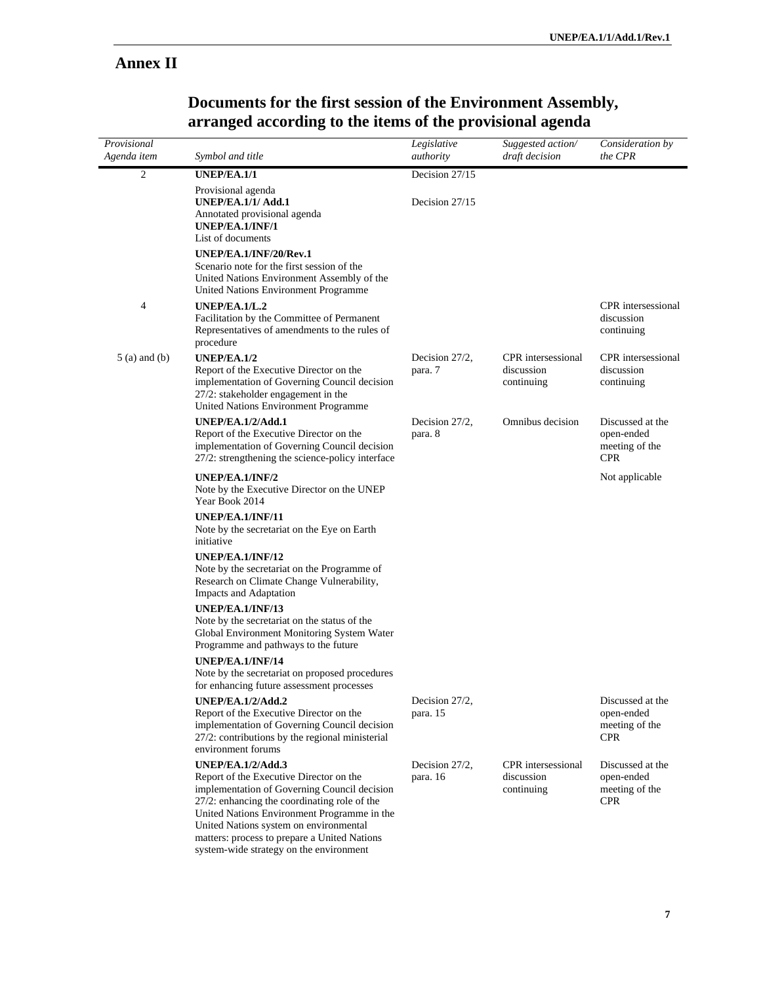## **Annex II**

| Provisional<br>Agenda item | Symbol and title                                                                                                                                                                                                                                                                                             | Legislative<br>authority   | Suggested action/<br>draft decision            | Consideration by<br>the CPR                                    |
|----------------------------|--------------------------------------------------------------------------------------------------------------------------------------------------------------------------------------------------------------------------------------------------------------------------------------------------------------|----------------------------|------------------------------------------------|----------------------------------------------------------------|
| 2                          | <b>UNEP/EA.1/1</b>                                                                                                                                                                                                                                                                                           | Decision 27/15             |                                                |                                                                |
|                            | Provisional agenda<br><b>UNEP/EA.1/1/ Add.1</b><br>Annotated provisional agenda<br>UNEP/EA.1/INF/1<br>List of documents                                                                                                                                                                                      | Decision 27/15             |                                                |                                                                |
|                            | UNEP/EA.1/INF/20/Rev.1<br>Scenario note for the first session of the<br>United Nations Environment Assembly of the<br>United Nations Environment Programme                                                                                                                                                   |                            |                                                |                                                                |
| 4                          | UNEP/EA.1/L.2<br>Facilitation by the Committee of Permanent<br>Representatives of amendments to the rules of<br>procedure                                                                                                                                                                                    |                            |                                                | <b>CPR</b> intersessional<br>discussion<br>continuing          |
| $5$ (a) and (b)            | <b>UNEP/EA.1/2</b><br>Report of the Executive Director on the<br>implementation of Governing Council decision<br>27/2: stakeholder engagement in the<br>United Nations Environment Programme                                                                                                                 | Decision 27/2,<br>para. 7  | CPR intersessional<br>discussion<br>continuing | CPR intersessional<br>discussion<br>continuing                 |
|                            | UNEP/EA.1/2/Add.1<br>Report of the Executive Director on the<br>implementation of Governing Council decision<br>27/2: strengthening the science-policy interface                                                                                                                                             | Decision 27/2,<br>para. 8  | Omnibus decision                               | Discussed at the<br>open-ended<br>meeting of the<br><b>CPR</b> |
|                            | UNEP/EA.1/INF/2<br>Note by the Executive Director on the UNEP<br>Year Book 2014                                                                                                                                                                                                                              |                            |                                                | Not applicable                                                 |
|                            | UNEP/EA.1/INF/11<br>Note by the secretariat on the Eye on Earth<br>initiative                                                                                                                                                                                                                                |                            |                                                |                                                                |
|                            | UNEP/EA.1/INF/12<br>Note by the secretariat on the Programme of<br>Research on Climate Change Vulnerability,<br>Impacts and Adaptation                                                                                                                                                                       |                            |                                                |                                                                |
|                            | UNEP/EA.1/INF/13<br>Note by the secretariat on the status of the<br>Global Environment Monitoring System Water<br>Programme and pathways to the future                                                                                                                                                       |                            |                                                |                                                                |
|                            | UNEP/EA.1/INF/14<br>Note by the secretariat on proposed procedures<br>for enhancing future assessment processes                                                                                                                                                                                              |                            |                                                |                                                                |
|                            | <b>UNEP/EA.1/2/Add.2</b><br>Report of the Executive Director on the<br>implementation of Governing Council decision<br>27/2: contributions by the regional ministerial<br>environment forums                                                                                                                 | Decision 27/2,<br>para. 15 |                                                | Discussed at the<br>open-ended<br>meeting of the<br><b>CPR</b> |
|                            | <b>UNEP/EA.1/2/Add.3</b><br>Report of the Executive Director on the<br>implementation of Governing Council decision<br>27/2: enhancing the coordinating role of the<br>United Nations Environment Programme in the<br>United Nations system on environmental<br>matters: process to prepare a United Nations | Decision 27/2,<br>para. 16 | CPR intersessional<br>discussion<br>continuing | Discussed at the<br>open-ended<br>meeting of the<br><b>CPR</b> |

system-wide strategy on the environment

## **Documents for the first session of the Environment Assembly, arranged according to the items of the provisional agenda**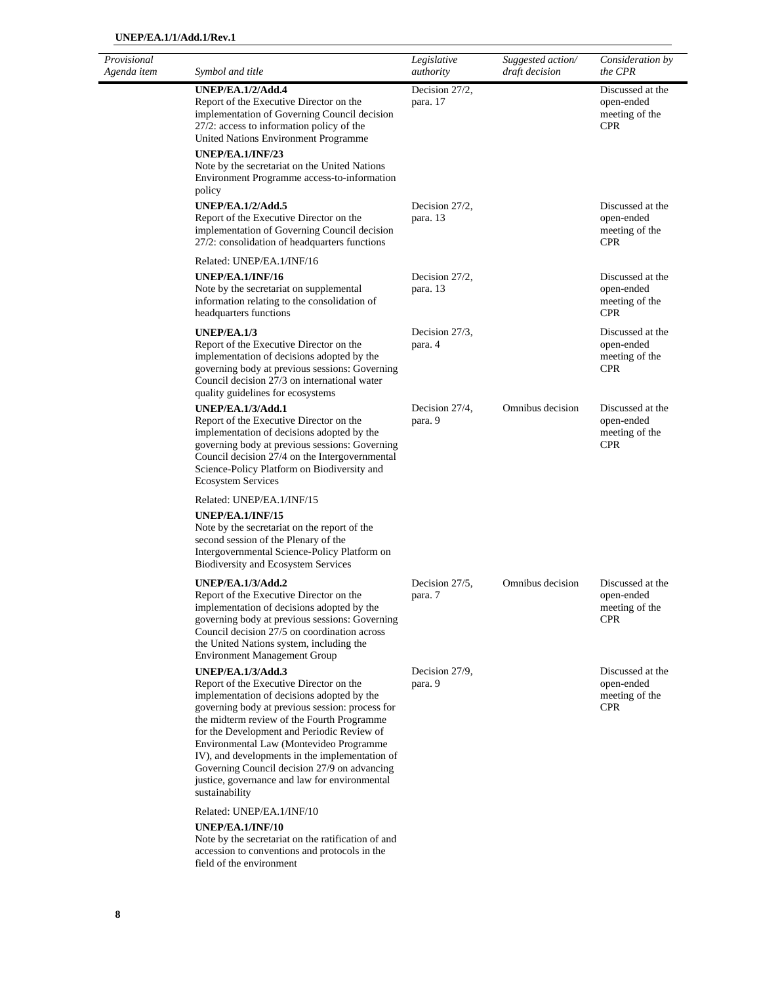| Provisional<br>Agenda item | Symbol and title                                                                                                                                                                                                                                                                                                                                                                                                                                                                 | Legislative<br>authority      | Suggested action/<br>draft decision | Consideration by<br>the CPR                                                     |
|----------------------------|----------------------------------------------------------------------------------------------------------------------------------------------------------------------------------------------------------------------------------------------------------------------------------------------------------------------------------------------------------------------------------------------------------------------------------------------------------------------------------|-------------------------------|-------------------------------------|---------------------------------------------------------------------------------|
|                            | <b>UNEP/EA.1/2/Add.4</b><br>Report of the Executive Director on the<br>implementation of Governing Council decision<br>27/2: access to information policy of the<br>United Nations Environment Programme<br>UNEP/EA.1/INF/23<br>Note by the secretariat on the United Nations<br>Environment Programme access-to-information<br>policy                                                                                                                                           | Decision 27/2,<br>para. 17    |                                     | Discussed at the<br>open-ended<br>meeting of the<br>$\ensuremath{\mathrm{CPR}}$ |
|                            | <b>UNEP/EA.1/2/Add.5</b><br>Report of the Executive Director on the<br>implementation of Governing Council decision<br>27/2: consolidation of headquarters functions                                                                                                                                                                                                                                                                                                             | Decision $27/2$ ,<br>para. 13 |                                     | Discussed at the<br>open-ended<br>meeting of the<br><b>CPR</b>                  |
|                            | Related: UNEP/EA.1/INF/16<br>UNEP/EA.1/INF/16<br>Note by the secretariat on supplemental<br>information relating to the consolidation of<br>headquarters functions                                                                                                                                                                                                                                                                                                               | Decision 27/2,<br>para. 13    |                                     | Discussed at the<br>open-ended<br>meeting of the<br><b>CPR</b>                  |
|                            | <b>UNEP/EA.1/3</b><br>Report of the Executive Director on the<br>implementation of decisions adopted by the<br>governing body at previous sessions: Governing<br>Council decision 27/3 on international water<br>quality guidelines for ecosystems                                                                                                                                                                                                                               | Decision 27/3,<br>para. 4     |                                     | Discussed at the<br>open-ended<br>meeting of the<br><b>CPR</b>                  |
|                            | UNEP/EA.1/3/Add.1<br>Report of the Executive Director on the<br>implementation of decisions adopted by the<br>governing body at previous sessions: Governing<br>Council decision 27/4 on the Intergovernmental<br>Science-Policy Platform on Biodiversity and<br><b>Ecosystem Services</b>                                                                                                                                                                                       | Decision 27/4,<br>para. 9     | Omnibus decision                    | Discussed at the<br>open-ended<br>meeting of the<br><b>CPR</b>                  |
|                            | Related: UNEP/EA.1/INF/15<br>UNEP/EA.1/INF/15<br>Note by the secretariat on the report of the<br>second session of the Plenary of the<br>Intergovernmental Science-Policy Platform on<br>Biodiversity and Ecosystem Services                                                                                                                                                                                                                                                     |                               |                                     |                                                                                 |
|                            | <b>UNEP/EA.1/3/Add.2</b><br>Report of the Executive Director on the<br>implementation of decisions adopted by the<br>governing body at previous sessions: Governing<br>Council decision 27/5 on coordination across<br>the United Nations system, including the<br><b>Environment Management Group</b>                                                                                                                                                                           | Decision 27/5,<br>para. 7     | Omnibus decision                    | Discussed at the<br>open-ended<br>meeting of the<br><b>CPR</b>                  |
|                            | <b>UNEP/EA.1/3/Add.3</b><br>Report of the Executive Director on the<br>implementation of decisions adopted by the<br>governing body at previous session: process for<br>the midterm review of the Fourth Programme<br>for the Development and Periodic Review of<br>Environmental Law (Montevideo Programme<br>IV), and developments in the implementation of<br>Governing Council decision 27/9 on advancing<br>justice, governance and law for environmental<br>sustainability | Decision 27/9,<br>para. 9     |                                     | Discussed at the<br>open-ended<br>meeting of the<br><b>CPR</b>                  |
|                            | Related: UNEP/EA.1/INF/10<br>UNEP/EA.1/INF/10<br>Note by the secretariat on the ratification of and<br>accession to conventions and protocols in the                                                                                                                                                                                                                                                                                                                             |                               |                                     |                                                                                 |

field of the environment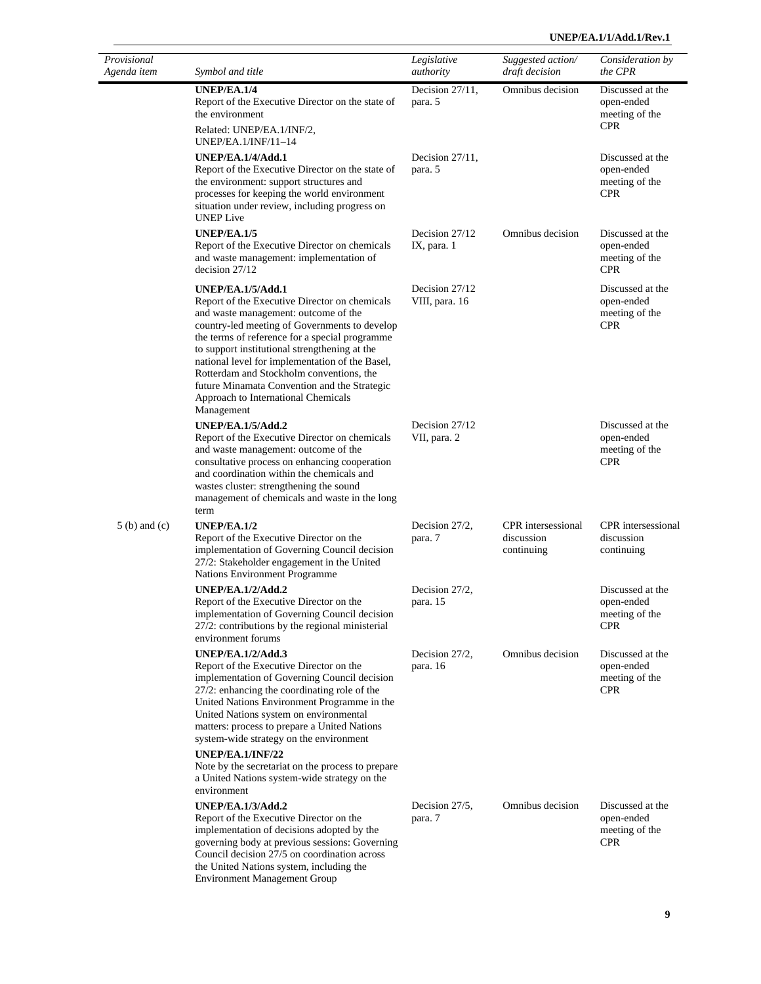#### **UNEP/EA.1/1/Add.1/Rev.1**

| Provisional<br>Agenda item | Symbol and title                                                                                                                                                                                                                                                                                                                                                                                                                                                          | Legislative<br>authority         | Suggested action/<br>draft decision                   | Consideration by<br>the CPR                                    |
|----------------------------|---------------------------------------------------------------------------------------------------------------------------------------------------------------------------------------------------------------------------------------------------------------------------------------------------------------------------------------------------------------------------------------------------------------------------------------------------------------------------|----------------------------------|-------------------------------------------------------|----------------------------------------------------------------|
|                            | UNEP/EA.1/4<br>Report of the Executive Director on the state of<br>the environment<br>Related: UNEP/EA.1/INF/2,                                                                                                                                                                                                                                                                                                                                                           | Decision 27/11,<br>para. 5       | Omnibus decision                                      | Discussed at the<br>open-ended<br>meeting of the<br><b>CPR</b> |
|                            | UNEP/EA.1/INF/11-14<br>UNEP/EA.1/4/Add.1<br>Report of the Executive Director on the state of<br>the environment: support structures and<br>processes for keeping the world environment<br>situation under review, including progress on<br><b>UNEP</b> Live                                                                                                                                                                                                               | Decision $27/11$ ,<br>para. 5    |                                                       | Discussed at the<br>open-ended<br>meeting of the<br><b>CPR</b> |
|                            | UNEP/EA.1/5<br>Report of the Executive Director on chemicals<br>and waste management: implementation of<br>decision 27/12                                                                                                                                                                                                                                                                                                                                                 | Decision 27/12<br>IX, para. 1    | Omnibus decision                                      | Discussed at the<br>open-ended<br>meeting of the<br><b>CPR</b> |
|                            | <b>UNEP/EA.1/5/Add.1</b><br>Report of the Executive Director on chemicals<br>and waste management: outcome of the<br>country-led meeting of Governments to develop<br>the terms of reference for a special programme<br>to support institutional strengthening at the<br>national level for implementation of the Basel,<br>Rotterdam and Stockholm conventions, the<br>future Minamata Convention and the Strategic<br>Approach to International Chemicals<br>Management | Decision 27/12<br>VIII, para. 16 |                                                       | Discussed at the<br>open-ended<br>meeting of the<br><b>CPR</b> |
|                            | <b>UNEP/EA.1/5/Add.2</b><br>Report of the Executive Director on chemicals<br>and waste management: outcome of the<br>consultative process on enhancing cooperation<br>and coordination within the chemicals and<br>wastes cluster: strengthening the sound<br>management of chemicals and waste in the long<br>term                                                                                                                                                       | Decision 27/12<br>VII, para. 2   |                                                       | Discussed at the<br>open-ended<br>meeting of the<br><b>CPR</b> |
| $5(b)$ and $(c)$           | UNEP/EA.1/2<br>Report of the Executive Director on the<br>implementation of Governing Council decision<br>27/2: Stakeholder engagement in the United<br>Nations Environment Programme                                                                                                                                                                                                                                                                                     | Decision 27/2,<br>para. 7        | <b>CPR</b> intersessional<br>discussion<br>continuing | CPR intersessional<br>discussion<br>continuing                 |
|                            | <b>UNEP/EA.1/2/Add.2</b><br>Report of the Executive Director on the<br>implementation of Governing Council decision<br>27/2: contributions by the regional ministerial<br>environment forums                                                                                                                                                                                                                                                                              | Decision 27/2,<br>para. 15       |                                                       | Discussed at the<br>open-ended<br>meeting of the<br><b>CPR</b> |
|                            | <b>UNEP/EA.1/2/Add.3</b><br>Report of the Executive Director on the<br>implementation of Governing Council decision<br>27/2: enhancing the coordinating role of the<br>United Nations Environment Programme in the<br>United Nations system on environmental<br>matters: process to prepare a United Nations<br>system-wide strategy on the environment                                                                                                                   | Decision 27/2,<br>para. 16       | Omnibus decision                                      | Discussed at the<br>open-ended<br>meeting of the<br><b>CPR</b> |
|                            | UNEP/EA.1/INF/22<br>Note by the secretariat on the process to prepare<br>a United Nations system-wide strategy on the<br>environment                                                                                                                                                                                                                                                                                                                                      |                                  |                                                       |                                                                |
|                            | <b>UNEP/EA.1/3/Add.2</b><br>Report of the Executive Director on the<br>implementation of decisions adopted by the<br>governing body at previous sessions: Governing<br>Council decision 27/5 on coordination across<br>the United Nations system, including the<br><b>Environment Management Group</b>                                                                                                                                                                    | Decision 27/5,<br>para. 7        | Omnibus decision                                      | Discussed at the<br>open-ended<br>meeting of the<br><b>CPR</b> |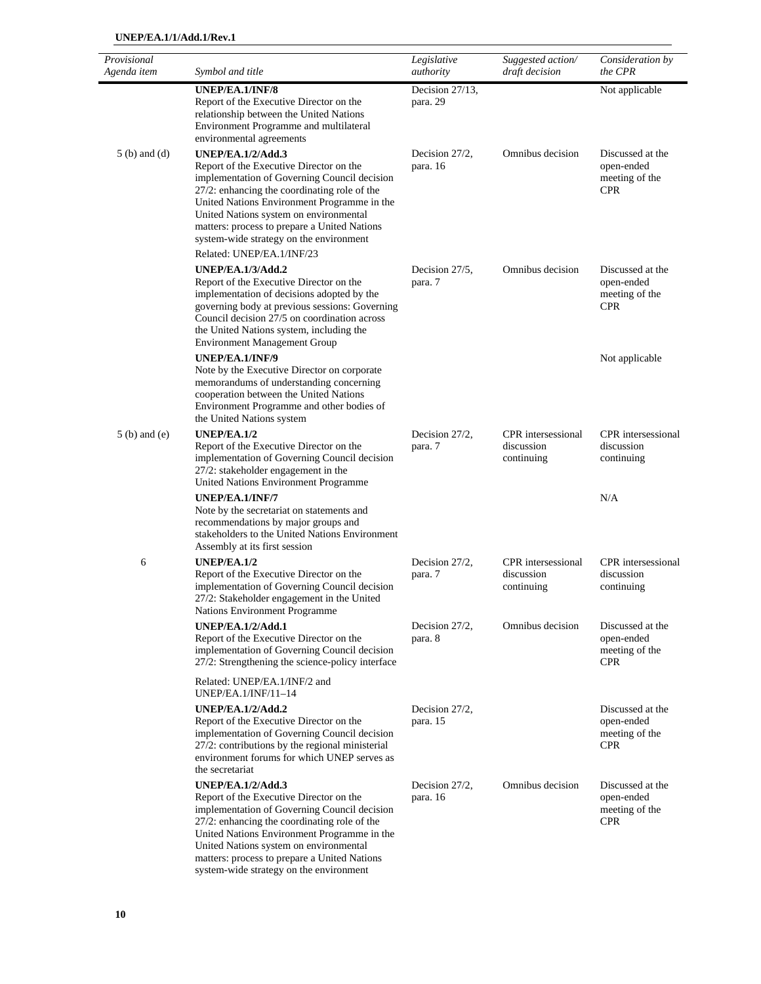| Provisional<br>Agenda item | Symbol and title                                                                                                                                                                                                                                                                                                                                                                     | Legislative<br>authority    | Suggested action/<br>draft decision            | Consideration by<br>the CPR                                    |
|----------------------------|--------------------------------------------------------------------------------------------------------------------------------------------------------------------------------------------------------------------------------------------------------------------------------------------------------------------------------------------------------------------------------------|-----------------------------|------------------------------------------------|----------------------------------------------------------------|
|                            | UNEP/EA.1/INF/8<br>Report of the Executive Director on the<br>relationship between the United Nations<br>Environment Programme and multilateral<br>environmental agreements                                                                                                                                                                                                          | Decision 27/13,<br>para. 29 |                                                | Not applicable                                                 |
| $5(b)$ and $(d)$           | <b>UNEP/EA.1/2/Add.3</b><br>Report of the Executive Director on the<br>implementation of Governing Council decision<br>27/2: enhancing the coordinating role of the<br>United Nations Environment Programme in the<br>United Nations system on environmental<br>matters: process to prepare a United Nations<br>system-wide strategy on the environment<br>Related: UNEP/EA.1/INF/23 | Decision 27/2,<br>para. 16  | Omnibus decision                               | Discussed at the<br>open-ended<br>meeting of the<br><b>CPR</b> |
|                            | UNEP/EA.1/3/Add.2<br>Report of the Executive Director on the<br>implementation of decisions adopted by the<br>governing body at previous sessions: Governing<br>Council decision 27/5 on coordination across<br>the United Nations system, including the<br><b>Environment Management Group</b>                                                                                      | Decision 27/5,<br>para. 7   | Omnibus decision                               | Discussed at the<br>open-ended<br>meeting of the<br><b>CPR</b> |
|                            | UNEP/EA.1/INF/9<br>Note by the Executive Director on corporate<br>memorandums of understanding concerning<br>cooperation between the United Nations<br>Environment Programme and other bodies of<br>the United Nations system                                                                                                                                                        |                             |                                                | Not applicable                                                 |
| $5(b)$ and $(e)$           | <b>UNEP/EA.1/2</b><br>Report of the Executive Director on the<br>implementation of Governing Council decision<br>27/2: stakeholder engagement in the<br>United Nations Environment Programme                                                                                                                                                                                         | Decision 27/2,<br>para. 7   | CPR intersessional<br>discussion<br>continuing | CPR intersessional<br>discussion<br>continuing                 |
|                            | UNEP/EA.1/INF/7<br>Note by the secretariat on statements and<br>recommendations by major groups and<br>stakeholders to the United Nations Environment<br>Assembly at its first session                                                                                                                                                                                               |                             |                                                | N/A                                                            |
| 6                          | UNEP/EA.1/2<br>Report of the Executive Director on the<br>implementation of Governing Council decision<br>27/2: Stakeholder engagement in the United<br>Nations Environment Programme                                                                                                                                                                                                | Decision 27/2,<br>para. 7   | CPR intersessional<br>discussion<br>continuing | CPR intersessional<br>discussion<br>continuing                 |
|                            | UNEP/EA.1/2/Add.1<br>Report of the Executive Director on the<br>implementation of Governing Council decision<br>27/2: Strengthening the science-policy interface                                                                                                                                                                                                                     | Decision 27/2,<br>para. 8   | Omnibus decision                               | Discussed at the<br>open-ended<br>meeting of the<br><b>CPR</b> |
|                            | Related: UNEP/EA.1/INF/2 and<br>$UNEP/EA.1/INF/11-14$                                                                                                                                                                                                                                                                                                                                |                             |                                                |                                                                |
|                            | <b>UNEP/EA.1/2/Add.2</b><br>Report of the Executive Director on the<br>implementation of Governing Council decision<br>27/2: contributions by the regional ministerial<br>environment forums for which UNEP serves as<br>the secretariat                                                                                                                                             | Decision 27/2,<br>para. 15  |                                                | Discussed at the<br>open-ended<br>meeting of the<br><b>CPR</b> |
|                            | <b>UNEP/EA.1/2/Add.3</b><br>Report of the Executive Director on the<br>implementation of Governing Council decision<br>27/2: enhancing the coordinating role of the<br>United Nations Environment Programme in the<br>United Nations system on environmental                                                                                                                         | Decision 27/2,<br>para. 16  | Omnibus decision                               | Discussed at the<br>open-ended<br>meeting of the<br><b>CPR</b> |

matters: process to prepare a United Nations system-wide strategy on the environment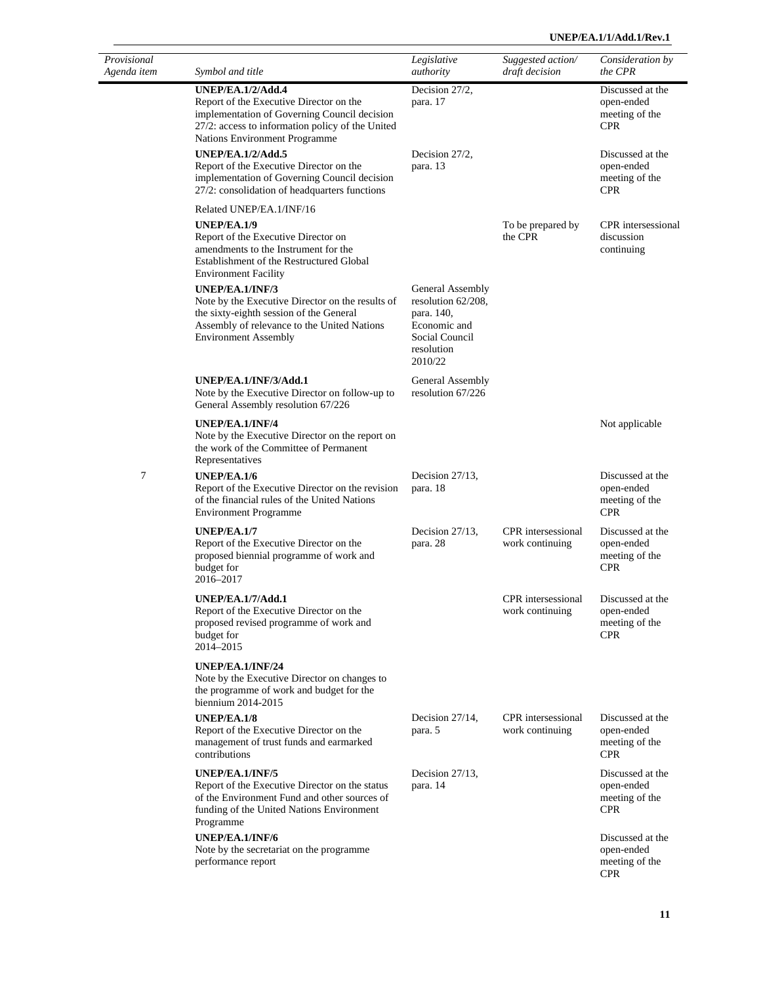| Provisional<br>Agenda item | Symbol and title                                                                                                                                                                                         | Legislative<br>authority                                                                                        | Suggested action/<br>draft decision          | Consideration by<br>the CPR                                    |
|----------------------------|----------------------------------------------------------------------------------------------------------------------------------------------------------------------------------------------------------|-----------------------------------------------------------------------------------------------------------------|----------------------------------------------|----------------------------------------------------------------|
|                            | <b>UNEP/EA.1/2/Add.4</b><br>Report of the Executive Director on the<br>implementation of Governing Council decision<br>27/2: access to information policy of the United<br>Nations Environment Programme | Decision 27/2,<br>para. 17                                                                                      |                                              | Discussed at the<br>open-ended<br>meeting of the<br><b>CPR</b> |
|                            | <b>UNEP/EA.1/2/Add.5</b><br>Report of the Executive Director on the<br>implementation of Governing Council decision<br>27/2: consolidation of headquarters functions                                     | Decision 27/2,<br>para. 13                                                                                      |                                              | Discussed at the<br>open-ended<br>meeting of the<br><b>CPR</b> |
|                            | Related UNEP/EA.1/INF/16<br><b>UNEP/EA.1/9</b><br>Report of the Executive Director on<br>amendments to the Instrument for the<br>Establishment of the Restructured Global<br><b>Environment Facility</b> |                                                                                                                 | To be prepared by<br>the CPR                 | CPR intersessional<br>discussion<br>continuing                 |
|                            | UNEP/EA.1/INF/3<br>Note by the Executive Director on the results of<br>the sixty-eighth session of the General<br>Assembly of relevance to the United Nations<br><b>Environment Assembly</b>             | General Assembly<br>resolution 62/208,<br>para. 140,<br>Economic and<br>Social Council<br>resolution<br>2010/22 |                                              |                                                                |
|                            | UNEP/EA.1/INF/3/Add.1<br>Note by the Executive Director on follow-up to<br>General Assembly resolution 67/226                                                                                            | General Assembly<br>resolution 67/226                                                                           |                                              |                                                                |
|                            | UNEP/EA.1/INF/4<br>Note by the Executive Director on the report on<br>the work of the Committee of Permanent<br>Representatives                                                                          |                                                                                                                 |                                              | Not applicable                                                 |
| 7                          | <b>UNEP/EA.1/6</b><br>Report of the Executive Director on the revision<br>of the financial rules of the United Nations<br><b>Environment Programme</b>                                                   | Decision $27/13$ ,<br>para. 18                                                                                  |                                              | Discussed at the<br>open-ended<br>meeting of the<br><b>CPR</b> |
|                            | <b>UNEP/EA.1/7</b><br>Report of the Executive Director on the<br>proposed biennial programme of work and<br>budget for<br>2016-2017                                                                      | Decision $27/13$ ,<br>para. 28                                                                                  | <b>CPR</b> intersessional<br>work continuing | Discussed at the<br>open-ended<br>meeting of the<br><b>CPR</b> |
|                            | UNEP/EA.1/7/Add.1<br>Report of the Executive Director on the<br>proposed revised programme of work and<br>budget for<br>2014-2015                                                                        |                                                                                                                 | CPR intersessional<br>work continuing        | Discussed at the<br>open-ended<br>meeting of the<br><b>CPR</b> |
|                            | UNEP/EA.1/INF/24<br>Note by the Executive Director on changes to<br>the programme of work and budget for the<br>biennium 2014-2015                                                                       |                                                                                                                 |                                              |                                                                |
|                            | <b>UNEP/EA.1/8</b><br>Report of the Executive Director on the<br>management of trust funds and earmarked<br>contributions                                                                                | Decision $27/14$ ,<br>para. 5                                                                                   | <b>CPR</b> intersessional<br>work continuing | Discussed at the<br>open-ended<br>meeting of the<br><b>CPR</b> |
|                            | UNEP/EA.1/INF/5<br>Report of the Executive Director on the status<br>of the Environment Fund and other sources of<br>funding of the United Nations Environment<br>Programme                              | Decision $27/13$ ,<br>para. 14                                                                                  |                                              | Discussed at the<br>open-ended<br>meeting of the<br><b>CPR</b> |
|                            | UNEP/EA.1/INF/6<br>Note by the secretariat on the programme<br>performance report                                                                                                                        |                                                                                                                 |                                              | Discussed at the<br>open-ended<br>meeting of the<br><b>CPR</b> |